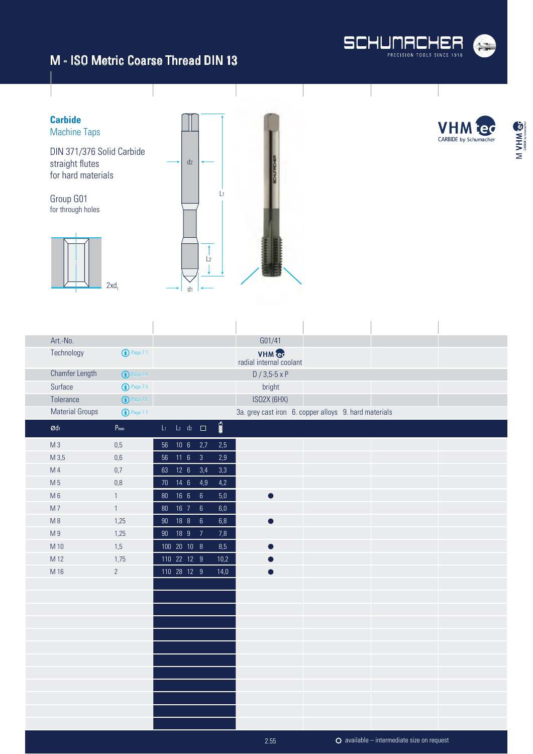d1



M VHM &

**Carbide VHI** Machine Taps CARBIDE by Schumacher DIN 371/376 Solid Carbide straight flutes  $d<sub>2</sub>$ for hard materials L1 Group G01 for through holes  $\overline{1}$  $\frac{1}{2}$ 1  $2xd_1$ 

| Art.-No.                      |                            |           |                          |                 |                         | G01/41                                                |  |  |
|-------------------------------|----------------------------|-----------|--------------------------|-----------------|-------------------------|-------------------------------------------------------|--|--|
| Technology                    | $\bigodot$ Page 7.1        |           |                          |                 |                         | VHM &<br>radial internal coolant                      |  |  |
| Chamfer Length                | <b>1</b> Page 7.4          |           |                          |                 |                         | $D / 3,5-5 \times P$                                  |  |  |
| Surface                       | $\bigodot$ Page 7.5        |           |                          |                 |                         | bright                                                |  |  |
| Tolerance                     | $\bigodot$ Page 7.6        |           |                          |                 |                         | ISO2X (6HX)                                           |  |  |
| <b>Material Groups</b>        | $\bigodot$ Page 7.7        |           |                          |                 |                         | 3a. grey cast iron 6. copper alloys 9. hard materials |  |  |
| $\boldsymbol{\mathcal{O}}$ dı | $\mathsf{P}_{\mathsf{mm}}$ |           | $L_1$ $L_2$ $d_2$ $\Box$ |                 | $\overline{\text{min}}$ |                                                       |  |  |
| $M_3$                         | $0,5$                      |           | 56 10 6 2,7              |                 | $2,5$                   |                                                       |  |  |
| M 3,5                         | 0,6                        |           | 56 11 6 3                |                 | 2,9                     |                                                       |  |  |
| M 4                           | 0,7                        |           | 63 12 6 3,4              |                 | 3,3                     |                                                       |  |  |
| M 5                           | 0,8                        |           | 70  14  6  4,9           |                 | 4,2                     |                                                       |  |  |
| $M_6$                         | $\mathbf{1}$               | 80  16  6 |                          | $6\overline{6}$ | $5,0$                   | $\bullet$                                             |  |  |
| M <sub>7</sub>                | $\mathbf{1}$               |           | 80  16  7  6             |                 | 6,0                     |                                                       |  |  |
| $M_8$                         | 1,25                       | 90 18 8   |                          | $\,6\,$         | $6,8$                   |                                                       |  |  |
| M <sub>9</sub>                | 1,25                       |           | 90 18 9 7                |                 | 7,8                     |                                                       |  |  |
| M 10                          | 1,5                        |           | 100 20 10 8              |                 | 8,5                     |                                                       |  |  |
| M 12                          | 1,75                       |           | 110 22 12 9              |                 | 10,2                    |                                                       |  |  |
| M 16                          | $\overline{2}$             |           | 110 28 12 9              |                 | 14,0                    |                                                       |  |  |
|                               |                            |           |                          |                 |                         |                                                       |  |  |
|                               |                            |           |                          |                 |                         |                                                       |  |  |
|                               |                            |           |                          |                 |                         |                                                       |  |  |
|                               |                            |           |                          |                 |                         |                                                       |  |  |
|                               |                            |           |                          |                 |                         |                                                       |  |  |
|                               |                            |           |                          |                 |                         |                                                       |  |  |
|                               |                            |           |                          |                 |                         |                                                       |  |  |
|                               |                            |           |                          |                 |                         |                                                       |  |  |
|                               |                            |           |                          |                 |                         |                                                       |  |  |
|                               |                            |           |                          |                 |                         |                                                       |  |  |
|                               |                            |           |                          |                 |                         |                                                       |  |  |
|                               |                            |           |                          |                 |                         |                                                       |  |  |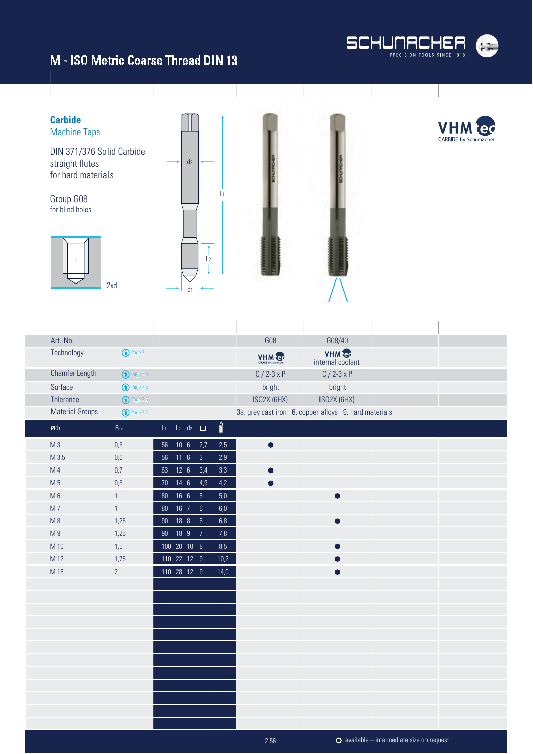



| Art.-No.               |                            |                          |                 |                         | <b>G08</b>    | G08/40                                                |  |
|------------------------|----------------------------|--------------------------|-----------------|-------------------------|---------------|-------------------------------------------------------|--|
| Technology             | $\bigodot$ Page 7.1        |                          |                 |                         | VHM er        | VHM &<br>internal coolant                             |  |
| <b>Chamfer Length</b>  | $\bigodot$ Page 7.4        |                          |                 |                         | $C / 2 - 3xP$ | $C / 2 - 3xP$                                         |  |
| Surface                | <b>1</b> Page 7.5          |                          |                 |                         | bright        | bright                                                |  |
| Tolerance              | $\bigodot$ Page 7.6        |                          |                 |                         | ISO2X (6HX)   | ISO2X (6HX)                                           |  |
| <b>Material Groups</b> | $\bigodot$ Page 7.7        |                          |                 |                         |               | 3a. grey cast iron 6. copper alloys 9. hard materials |  |
| $\varnothing$ dı       | $\mathsf{P}_{\mathsf{mm}}$ | $L_1$ $L_2$ $d_2$ $\Box$ |                 | $\overline{\text{min}}$ |               |                                                       |  |
| M <sub>3</sub>         | $0,5$                      | 56 10 6 2,7              |                 | $2,5$                   | $\bullet$     |                                                       |  |
| M 3,5                  | 0,6                        | 56 11 6                  | $\overline{3}$  | 2,9                     |               |                                                       |  |
| M <sub>4</sub>         | 0,7                        | 63 12 6                  | 3,4             | 3,3                     |               |                                                       |  |
| M 5                    | $0,8$                      | 70 14 6                  | 4,9             | $4,2$                   |               |                                                       |  |
| $M_6$                  | $\overline{1}$             | 80  16  6                | $6\phantom{.}6$ | $5,0$                   |               | $\bullet$                                             |  |
| M <sub>7</sub>         | $\mathbf{1}$               | 80  16  7                | $\sqrt{6}$      | $6,\!0$                 |               |                                                       |  |
| M8                     | 1,25                       | 90 18 8                  | $\sqrt{6}$      | $6,8$                   |               | $\bullet$                                             |  |
| M <sub>9</sub>         | 1,25                       | 90 18 9                  | $\overline{7}$  | 7,8                     |               |                                                       |  |
| M 10                   | 1,5                        | 100 20 10 8              |                 | 8,5                     |               | $\bullet$                                             |  |
| M 12                   | 1,75                       | 110 22 12 9              |                 | 10,2                    |               |                                                       |  |
| M 16                   | $\overline{2}$             | 110 28 12 9              |                 | 14,0                    |               | O                                                     |  |
|                        |                            |                          |                 |                         |               |                                                       |  |
|                        |                            |                          |                 |                         |               |                                                       |  |
|                        |                            |                          |                 |                         |               |                                                       |  |
|                        |                            |                          |                 |                         |               |                                                       |  |
|                        |                            |                          |                 |                         |               |                                                       |  |
|                        |                            |                          |                 |                         |               |                                                       |  |
|                        |                            |                          |                 |                         |               |                                                       |  |
|                        |                            |                          |                 |                         |               |                                                       |  |
|                        |                            |                          |                 |                         |               |                                                       |  |
|                        |                            |                          |                 |                         |               |                                                       |  |
|                        |                            |                          |                 |                         |               |                                                       |  |
|                        |                            |                          |                 |                         |               |                                                       |  |

2.56

available – intermediate size on request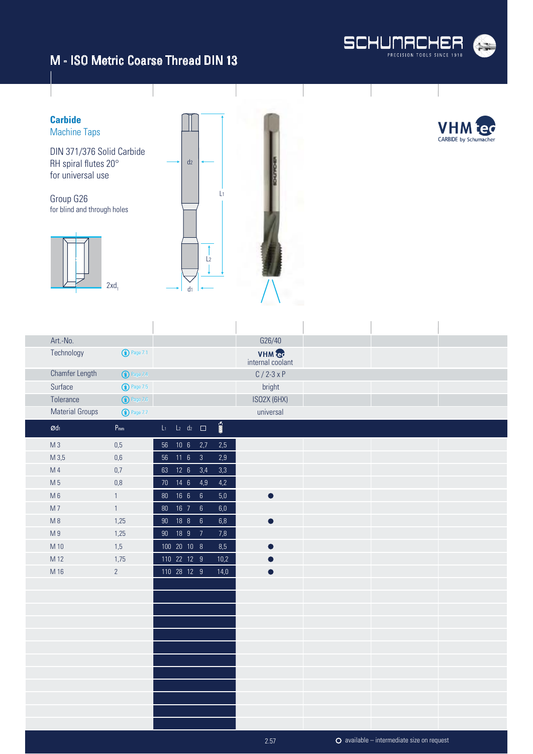



| Art.-No.                      |                            |              |  |                             |                                 | G26/40                    |                                            |  |
|-------------------------------|----------------------------|--------------|--|-----------------------------|---------------------------------|---------------------------|--------------------------------------------|--|
| Technology                    | $\bigodot$ Page 7.1        |              |  |                             |                                 | VHM &<br>internal coolant |                                            |  |
| <b>Chamfer Length</b>         | <b>1</b> Page 7.4          |              |  |                             |                                 | $C / 2 - 3xP$             |                                            |  |
| Surface                       | <b>1</b> Page 7.5          |              |  |                             |                                 | bright                    |                                            |  |
| Tolerance                     | $\bigodot$ Page 7.6        |              |  |                             |                                 | ISO2X (6HX)               |                                            |  |
| <b>Material Groups</b>        | $\bigodot$ Page 7.7        |              |  |                             |                                 | universal                 |                                            |  |
| $\boldsymbol{\mathcal{O}}$ dı | $\mathsf{P}_{\mathsf{mm}}$ |              |  | $L_1$ $L_2$ $d_2$ $\square$ | $\overline{\mathbb{M}}^{\circ}$ |                           |                                            |  |
| M <sub>3</sub>                | 0,5                        | 56 10 6 2,7  |  |                             | 2,5                             |                           |                                            |  |
| M 3,5                         | 0,6                        | 56 11 6      |  | $\overline{\mathbf{3}}$     | 2,9                             |                           |                                            |  |
| M 4                           | 0,7                        |              |  | 63 12 6 3,4                 | $3,3$                           |                           |                                            |  |
| M 5                           | 0,8                        | 70 14 6      |  | 4,9                         | 4,2                             |                           |                                            |  |
| $M_6$                         | $\mathbf{1}$               | 80  16  6  6 |  |                             | $5,0$                           |                           |                                            |  |
| M7                            | $\mathbf{1}$               | 80  16  7    |  | $6\overline{6}$             | 6,0                             |                           |                                            |  |
| M8                            | 1,25                       | 90 18 8 6    |  |                             | $6,8$                           | $\bullet$                 |                                            |  |
| M <sub>9</sub>                | 1,25                       | 90 18 9 7    |  |                             | 7,8                             |                           |                                            |  |
| M 10                          | 1,5                        | 100 20 10 8  |  |                             | 8,5                             | ∩                         |                                            |  |
| M 12                          | 1,75                       | 110 22 12 9  |  |                             | 10,2                            |                           |                                            |  |
| M 16                          | $\overline{2}$             | 110 28 12 9  |  |                             | 14,0                            | D                         |                                            |  |
|                               |                            |              |  |                             |                                 |                           |                                            |  |
|                               |                            |              |  |                             |                                 |                           |                                            |  |
|                               |                            |              |  |                             |                                 |                           |                                            |  |
|                               |                            |              |  |                             |                                 |                           |                                            |  |
|                               |                            |              |  |                             |                                 |                           |                                            |  |
|                               |                            |              |  |                             |                                 |                           |                                            |  |
|                               |                            |              |  |                             |                                 |                           |                                            |  |
|                               |                            |              |  |                             |                                 |                           |                                            |  |
|                               |                            |              |  |                             |                                 |                           |                                            |  |
|                               |                            |              |  |                             |                                 |                           |                                            |  |
|                               |                            |              |  |                             |                                 |                           |                                            |  |
|                               |                            |              |  |                             |                                 |                           |                                            |  |
|                               |                            |              |  |                             |                                 | 2.57                      | O available - intermediate size on request |  |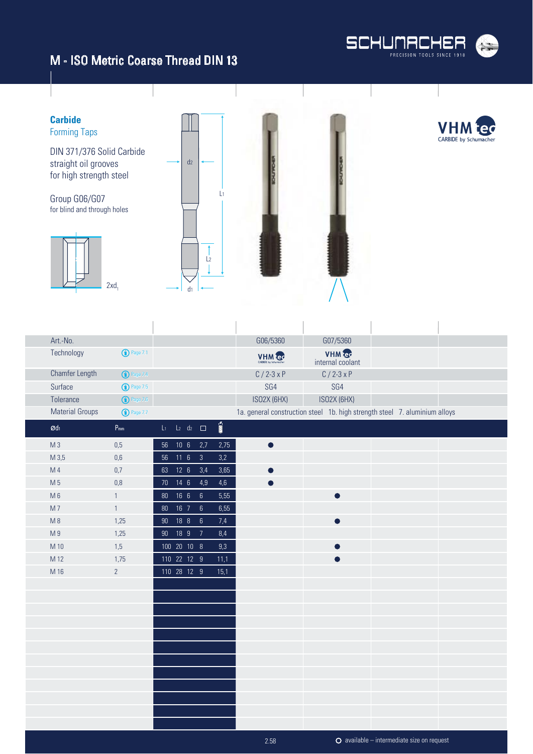



| Art.-No.               |                     |                          |                 |                 |                       | G06/5360                                                                   | G07/5360                  |                                                    |  |
|------------------------|---------------------|--------------------------|-----------------|-----------------|-----------------------|----------------------------------------------------------------------------|---------------------------|----------------------------------------------------|--|
| Technology             | $\bigodot$ Page 7.1 |                          |                 |                 |                       | VHM er                                                                     | VHM e<br>internal coolant |                                                    |  |
| Chamfer Length         | <b>1</b> Page 7.4   |                          |                 |                 |                       | $C / 2 - 3xP$                                                              | $C / 2 - 3xP$             |                                                    |  |
| Surface                | <b>1</b> Page 7.5   |                          |                 |                 |                       | SG4                                                                        | SG4                       |                                                    |  |
| Tolerance              | $\bigodot$ Page 7.6 |                          |                 |                 |                       | ISO2X (6HX)                                                                | ISO2X (6HX)               |                                                    |  |
| <b>Material Groups</b> | <b>1</b> Page 7.7   |                          |                 |                 |                       | 1a. general construction steel 1b. high strength steel 7. aluminium alloys |                           |                                                    |  |
| $\mathcal{O}d_1$       | $P_{mm}$            | $L_1$ $L_2$ $d_2$ $\Box$ |                 |                 | $\overline{\text{m}}$ |                                                                            |                           |                                                    |  |
| M <sub>3</sub>         | $0,5$               | 56                       | 10 <sub>6</sub> | 2,7             | 2,75                  | $\bullet$                                                                  |                           |                                                    |  |
| M 3,5                  | $0,\!6$             |                          | 56 11 6         | $\overline{3}$  | 3,2                   |                                                                            |                           |                                                    |  |
| M <sub>4</sub>         | 0,7                 |                          | 63 12 6         | 3,4             | 3,65                  | $\bullet$                                                                  |                           |                                                    |  |
| M 5                    | $0,8$               |                          | 70 14 6         | 4,9             | $4,6$                 |                                                                            |                           |                                                    |  |
| $M_6$                  | $\mathbf{1}$        |                          | 80  16  6  6    |                 | 5,55                  |                                                                            | ●                         |                                                    |  |
| M <sub>7</sub>         | $\mathbf{1}$        |                          | 80 16 7         | $\sqrt{6}$      | 6,55                  |                                                                            |                           |                                                    |  |
| M8                     | 1,25                |                          | 90 18 8         | $6\overline{6}$ | 7,4                   |                                                                            | $\bullet$                 |                                                    |  |
| M <sub>9</sub>         | 1,25                | $90\,$                   | 18 9            | $\overline{7}$  | 8,4                   |                                                                            |                           |                                                    |  |
| M 10                   | 1,5                 |                          | 100 20 10 8     |                 | 9,3                   |                                                                            | œ                         |                                                    |  |
| M 12                   | 1,75                |                          | 110 22 12 9     |                 | 11,1                  |                                                                            |                           |                                                    |  |
| M 16                   | $\overline{2}$      |                          | 110 28 12 9     |                 | 15,1                  |                                                                            |                           |                                                    |  |
|                        |                     |                          |                 |                 |                       |                                                                            |                           |                                                    |  |
|                        |                     |                          |                 |                 |                       |                                                                            |                           |                                                    |  |
|                        |                     |                          |                 |                 |                       |                                                                            |                           |                                                    |  |
|                        |                     |                          |                 |                 |                       |                                                                            |                           |                                                    |  |
|                        |                     |                          |                 |                 |                       |                                                                            |                           |                                                    |  |
|                        |                     |                          |                 |                 |                       |                                                                            |                           |                                                    |  |
|                        |                     |                          |                 |                 |                       |                                                                            |                           |                                                    |  |
|                        |                     |                          |                 |                 |                       |                                                                            |                           |                                                    |  |
|                        |                     |                          |                 |                 |                       |                                                                            |                           |                                                    |  |
|                        |                     |                          |                 |                 |                       |                                                                            |                           |                                                    |  |
|                        |                     |                          |                 |                 |                       |                                                                            |                           |                                                    |  |
|                        |                     |                          |                 |                 |                       |                                                                            |                           |                                                    |  |
|                        |                     |                          |                 |                 |                       | 2.58                                                                       |                           | $\bullet$ available – intermediate size on request |  |